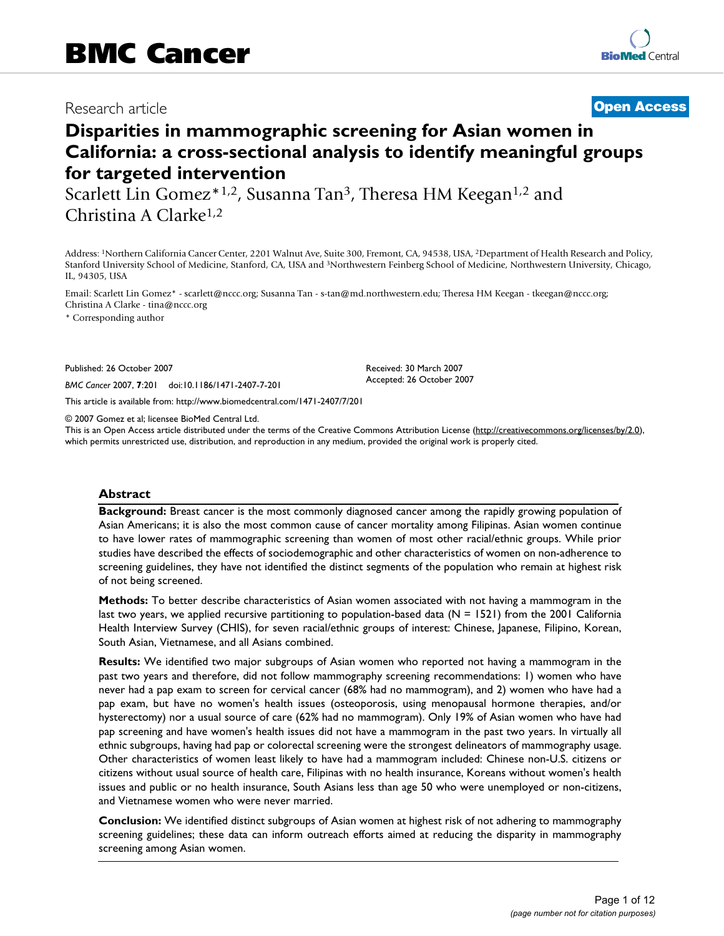# Research article **[Open Access](http://www.biomedcentral.com/info/about/charter/)**

# **Disparities in mammographic screening for Asian women in California: a cross-sectional analysis to identify meaningful groups for targeted intervention**

Scarlett Lin Gomez<sup>\*1,2</sup>, Susanna Tan<sup>3</sup>, Theresa HM Keegan<sup>1,2</sup> and Christina A Clarke1,2

Address: 1Northern California Cancer Center, 2201 Walnut Ave, Suite 300, Fremont, CA, 94538, USA, 2Department of Health Research and Policy, Stanford University School of Medicine, Stanford, CA, USA and 3Northwestern Feinberg School of Medicine, Northwestern University, Chicago, IL, 94305, USA

Email: Scarlett Lin Gomez\* - scarlett@nccc.org; Susanna Tan - s-tan@md.northwestern.edu; Theresa HM Keegan - tkeegan@nccc.org; Christina A Clarke - tina@nccc.org

\* Corresponding author

Published: 26 October 2007

*BMC Cancer* 2007, **7**:201 doi:10.1186/1471-2407-7-201

[This article is available from: http://www.biomedcentral.com/1471-2407/7/201](http://www.biomedcentral.com/1471-2407/7/201)

© 2007 Gomez et al; licensee BioMed Central Ltd.

This is an Open Access article distributed under the terms of the Creative Commons Attribution License [\(http://creativecommons.org/licenses/by/2.0\)](http://creativecommons.org/licenses/by/2.0), which permits unrestricted use, distribution, and reproduction in any medium, provided the original work is properly cited.

Received: 30 March 2007 Accepted: 26 October 2007

#### **Abstract**

**Background:** Breast cancer is the most commonly diagnosed cancer among the rapidly growing population of Asian Americans; it is also the most common cause of cancer mortality among Filipinas. Asian women continue to have lower rates of mammographic screening than women of most other racial/ethnic groups. While prior studies have described the effects of sociodemographic and other characteristics of women on non-adherence to screening guidelines, they have not identified the distinct segments of the population who remain at highest risk of not being screened.

**Methods:** To better describe characteristics of Asian women associated with not having a mammogram in the last two years, we applied recursive partitioning to population-based data  $(N = 1521)$  from the 2001 California Health Interview Survey (CHIS), for seven racial/ethnic groups of interest: Chinese, Japanese, Filipino, Korean, South Asian, Vietnamese, and all Asians combined.

**Results:** We identified two major subgroups of Asian women who reported not having a mammogram in the past two years and therefore, did not follow mammography screening recommendations: 1) women who have never had a pap exam to screen for cervical cancer (68% had no mammogram), and 2) women who have had a pap exam, but have no women's health issues (osteoporosis, using menopausal hormone therapies, and/or hysterectomy) nor a usual source of care (62% had no mammogram). Only 19% of Asian women who have had pap screening and have women's health issues did not have a mammogram in the past two years. In virtually all ethnic subgroups, having had pap or colorectal screening were the strongest delineators of mammography usage. Other characteristics of women least likely to have had a mammogram included: Chinese non-U.S. citizens or citizens without usual source of health care, Filipinas with no health insurance, Koreans without women's health issues and public or no health insurance, South Asians less than age 50 who were unemployed or non-citizens, and Vietnamese women who were never married.

**Conclusion:** We identified distinct subgroups of Asian women at highest risk of not adhering to mammography screening guidelines; these data can inform outreach efforts aimed at reducing the disparity in mammography screening among Asian women.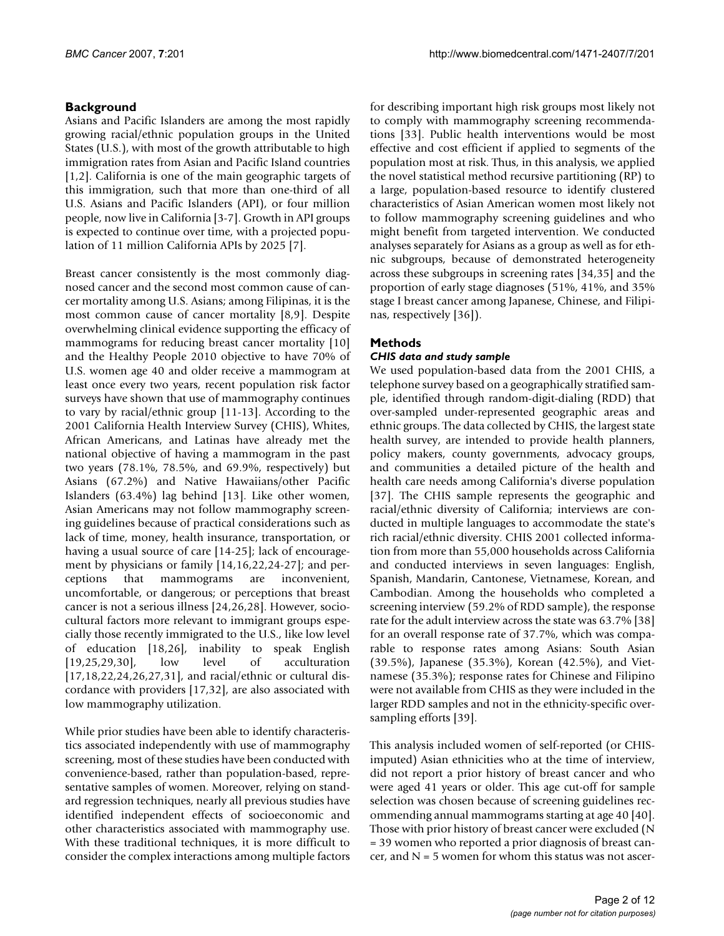# **Background**

Asians and Pacific Islanders are among the most rapidly growing racial/ethnic population groups in the United States (U.S.), with most of the growth attributable to high immigration rates from Asian and Pacific Island countries [1,2]. California is one of the main geographic targets of this immigration, such that more than one-third of all U.S. Asians and Pacific Islanders (API), or four million people, now live in California [3-7]. Growth in API groups is expected to continue over time, with a projected population of 11 million California APIs by 2025 [7].

Breast cancer consistently is the most commonly diagnosed cancer and the second most common cause of cancer mortality among U.S. Asians; among Filipinas, it is the most common cause of cancer mortality [8,9]. Despite overwhelming clinical evidence supporting the efficacy of mammograms for reducing breast cancer mortality [10] and the Healthy People 2010 objective to have 70% of U.S. women age 40 and older receive a mammogram at least once every two years, recent population risk factor surveys have shown that use of mammography continues to vary by racial/ethnic group [11-13]. According to the 2001 California Health Interview Survey (CHIS), Whites, African Americans, and Latinas have already met the national objective of having a mammogram in the past two years (78.1%, 78.5%, and 69.9%, respectively) but Asians (67.2%) and Native Hawaiians/other Pacific Islanders (63.4%) lag behind [13]. Like other women, Asian Americans may not follow mammography screening guidelines because of practical considerations such as lack of time, money, health insurance, transportation, or having a usual source of care [14-25]; lack of encouragement by physicians or family [14,16,22,24-27]; and perceptions that mammograms are inconvenient, uncomfortable, or dangerous; or perceptions that breast cancer is not a serious illness [24,26,28]. However, sociocultural factors more relevant to immigrant groups especially those recently immigrated to the U.S., like low level of education [18,26], inability to speak English [19,25,29,30], low level of acculturation [17,18,22,24,26,27,31], and racial/ethnic or cultural discordance with providers [17,32], are also associated with low mammography utilization.

While prior studies have been able to identify characteristics associated independently with use of mammography screening, most of these studies have been conducted with convenience-based, rather than population-based, representative samples of women. Moreover, relying on standard regression techniques, nearly all previous studies have identified independent effects of socioeconomic and other characteristics associated with mammography use. With these traditional techniques, it is more difficult to consider the complex interactions among multiple factors

for describing important high risk groups most likely not to comply with mammography screening recommendations [33]. Public health interventions would be most effective and cost efficient if applied to segments of the population most at risk. Thus, in this analysis, we applied the novel statistical method recursive partitioning (RP) to a large, population-based resource to identify clustered characteristics of Asian American women most likely not to follow mammography screening guidelines and who might benefit from targeted intervention. We conducted analyses separately for Asians as a group as well as for ethnic subgroups, because of demonstrated heterogeneity across these subgroups in screening rates [34,35] and the proportion of early stage diagnoses (51%, 41%, and 35% stage I breast cancer among Japanese, Chinese, and Filipinas, respectively [36]).

# **Methods**

# *CHIS data and study sample*

We used population-based data from the 2001 CHIS, a telephone survey based on a geographically stratified sample, identified through random-digit-dialing (RDD) that over-sampled under-represented geographic areas and ethnic groups. The data collected by CHIS, the largest state health survey, are intended to provide health planners, policy makers, county governments, advocacy groups, and communities a detailed picture of the health and health care needs among California's diverse population [37]. The CHIS sample represents the geographic and racial/ethnic diversity of California; interviews are conducted in multiple languages to accommodate the state's rich racial/ethnic diversity. CHIS 2001 collected information from more than 55,000 households across California and conducted interviews in seven languages: English, Spanish, Mandarin, Cantonese, Vietnamese, Korean, and Cambodian. Among the households who completed a screening interview (59.2% of RDD sample), the response rate for the adult interview across the state was 63.7% [38] for an overall response rate of 37.7%, which was comparable to response rates among Asians: South Asian (39.5%), Japanese (35.3%), Korean (42.5%), and Vietnamese (35.3%); response rates for Chinese and Filipino were not available from CHIS as they were included in the larger RDD samples and not in the ethnicity-specific oversampling efforts [39].

This analysis included women of self-reported (or CHISimputed) Asian ethnicities who at the time of interview, did not report a prior history of breast cancer and who were aged 41 years or older. This age cut-off for sample selection was chosen because of screening guidelines recommending annual mammograms starting at age 40 [40]. Those with prior history of breast cancer were excluded (N = 39 women who reported a prior diagnosis of breast cancer, and  $N = 5$  women for whom this status was not ascer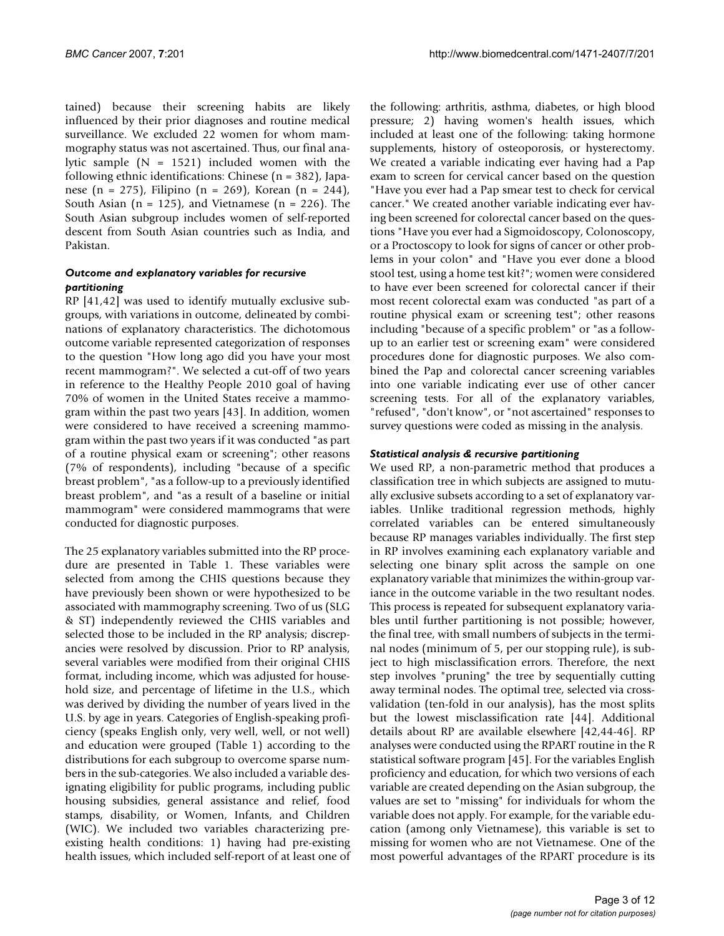tained) because their screening habits are likely influenced by their prior diagnoses and routine medical surveillance. We excluded 22 women for whom mammography status was not ascertained. Thus, our final analytic sample  $(N = 1521)$  included women with the following ethnic identifications: Chinese (n = 382), Japanese (n = 275), Filipino (n = 269), Korean (n = 244), South Asian ( $n = 125$ ), and Vietnamese ( $n = 226$ ). The South Asian subgroup includes women of self-reported descent from South Asian countries such as India, and Pakistan.

# *Outcome and explanatory variables for recursive partitioning*

RP [41,42] was used to identify mutually exclusive subgroups, with variations in outcome, delineated by combinations of explanatory characteristics. The dichotomous outcome variable represented categorization of responses to the question "How long ago did you have your most recent mammogram?". We selected a cut-off of two years in reference to the Healthy People 2010 goal of having 70% of women in the United States receive a mammogram within the past two years [43]. In addition, women were considered to have received a screening mammogram within the past two years if it was conducted "as part of a routine physical exam or screening"; other reasons (7% of respondents), including "because of a specific breast problem", "as a follow-up to a previously identified breast problem", and "as a result of a baseline or initial mammogram" were considered mammograms that were conducted for diagnostic purposes.

The 25 explanatory variables submitted into the RP procedure are presented in Table 1. These variables were selected from among the CHIS questions because they have previously been shown or were hypothesized to be associated with mammography screening. Two of us (SLG & ST) independently reviewed the CHIS variables and selected those to be included in the RP analysis; discrepancies were resolved by discussion. Prior to RP analysis, several variables were modified from their original CHIS format, including income, which was adjusted for household size, and percentage of lifetime in the U.S., which was derived by dividing the number of years lived in the U.S. by age in years. Categories of English-speaking proficiency (speaks English only, very well, well, or not well) and education were grouped (Table 1) according to the distributions for each subgroup to overcome sparse numbers in the sub-categories. We also included a variable designating eligibility for public programs, including public housing subsidies, general assistance and relief, food stamps, disability, or Women, Infants, and Children (WIC). We included two variables characterizing preexisting health conditions: 1) having had pre-existing health issues, which included self-report of at least one of the following: arthritis, asthma, diabetes, or high blood pressure; 2) having women's health issues, which included at least one of the following: taking hormone supplements, history of osteoporosis, or hysterectomy. We created a variable indicating ever having had a Pap exam to screen for cervical cancer based on the question "Have you ever had a Pap smear test to check for cervical cancer." We created another variable indicating ever having been screened for colorectal cancer based on the questions "Have you ever had a Sigmoidoscopy, Colonoscopy, or a Proctoscopy to look for signs of cancer or other problems in your colon" and "Have you ever done a blood stool test, using a home test kit?"; women were considered to have ever been screened for colorectal cancer if their most recent colorectal exam was conducted "as part of a routine physical exam or screening test"; other reasons including "because of a specific problem" or "as a followup to an earlier test or screening exam" were considered procedures done for diagnostic purposes. We also combined the Pap and colorectal cancer screening variables into one variable indicating ever use of other cancer screening tests. For all of the explanatory variables, "refused", "don't know", or "not ascertained" responses to survey questions were coded as missing in the analysis.

# *Statistical analysis & recursive partitioning*

We used RP, a non-parametric method that produces a classification tree in which subjects are assigned to mutually exclusive subsets according to a set of explanatory variables. Unlike traditional regression methods, highly correlated variables can be entered simultaneously because RP manages variables individually. The first step in RP involves examining each explanatory variable and selecting one binary split across the sample on one explanatory variable that minimizes the within-group variance in the outcome variable in the two resultant nodes. This process is repeated for subsequent explanatory variables until further partitioning is not possible; however, the final tree, with small numbers of subjects in the terminal nodes (minimum of 5, per our stopping rule), is subject to high misclassification errors. Therefore, the next step involves "pruning" the tree by sequentially cutting away terminal nodes. The optimal tree, selected via crossvalidation (ten-fold in our analysis), has the most splits but the lowest misclassification rate [44]. Additional details about RP are available elsewhere [42,44-46]. RP analyses were conducted using the RPART routine in the R statistical software program [45]. For the variables English proficiency and education, for which two versions of each variable are created depending on the Asian subgroup, the values are set to "missing" for individuals for whom the variable does not apply. For example, for the variable education (among only Vietnamese), this variable is set to missing for women who are not Vietnamese. One of the most powerful advantages of the RPART procedure is its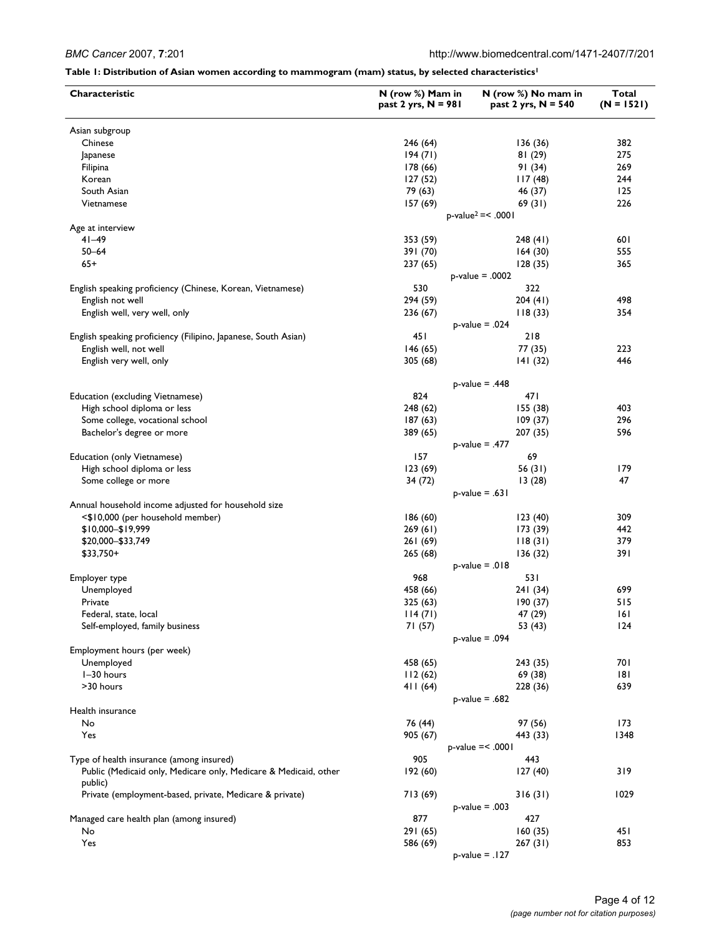# **Table 1: Distribution of Asian women according to mammogram (mam) status, by selected characteristics1**

| Characteristic                                                   | N (row %) Mam in      | N (row %) No mam in          | <b>Total</b> |
|------------------------------------------------------------------|-----------------------|------------------------------|--------------|
|                                                                  | past 2 yrs, $N = 981$ | past 2 yrs, $N = 540$        | $(N = 1521)$ |
| Asian subgroup                                                   |                       |                              |              |
| Chinese                                                          | 246 (64)              | 136 (36)                     | 382          |
| Japanese                                                         | 194(71)               | 81(29)                       | 275          |
| Filipina                                                         | 178(66)               | 91 (34)                      | 269          |
| Korean                                                           | 127(52)               | 117(48)                      | 244          |
| South Asian                                                      | 79 (63)               |                              | 125          |
| Vietnamese                                                       |                       | 46 (37)                      | 226          |
|                                                                  | 157(69)               | 69(31)<br>$p-value^2 = 0001$ |              |
| Age at interview                                                 |                       |                              |              |
| $41 - 49$                                                        | 353 (59)              | 248(41)                      | 601          |
| $50 - 64$                                                        | 391 (70)              | 164(30)                      | 555          |
| $65+$                                                            | 237 (65)              | 128(35)                      | 365          |
|                                                                  |                       | $p$ -value = .0002           |              |
| English speaking proficiency (Chinese, Korean, Vietnamese)       | 530                   | 322                          |              |
| English not well                                                 | 294 (59)              | 204(41)                      | 498          |
| English well, very well, only                                    |                       |                              | 354          |
|                                                                  | 236 (67)              | 118(33)<br>$p$ -value = .024 |              |
| English speaking proficiency (Filipino, Japanese, South Asian)   | 45 I                  | 218                          |              |
|                                                                  |                       |                              |              |
| English well, not well                                           | 146(65)               | 77 (35)                      | 223          |
| English very well, only                                          | 305 (68)              | 141(32)                      | 446          |
|                                                                  |                       | $p$ -value = .448            |              |
|                                                                  | 824                   |                              |              |
| <b>Education (excluding Vietnamese)</b>                          |                       | 47 I                         |              |
| High school diploma or less                                      | 248 (62)              | 155(38)                      | 403          |
| Some college, vocational school                                  | 187(63)               | 109(37)                      | 296          |
| Bachelor's degree or more                                        | 389 (65)              | 207 (35)                     | 596          |
|                                                                  |                       | $p$ -value = .477            |              |
| <b>Education (only Vietnamese)</b>                               | 157                   | 69                           |              |
| High school diploma or less                                      | 123(69)               | 56(31)                       | 179          |
| Some college or more                                             | 34 (72)               | 13(28)                       | 47           |
|                                                                  |                       | $p$ -value = .631            |              |
| Annual household income adjusted for household size              |                       |                              |              |
| <\$10,000 (per household member)                                 | 186(60)               | 123(40)                      | 309          |
| \$10,000-\$19,999                                                | 269(61)               | 173 (39)                     | 442          |
| \$20,000-\$33,749                                                | 261(69)               | 118(31)                      | 379          |
| \$33,750+                                                        | 265 (68)              | 136(32)                      | 39 I         |
|                                                                  |                       | $p-value = .018$             |              |
| Employer type                                                    | 968                   | 531                          |              |
| Unemployed                                                       | 458 (66)              | 241 (34)                     | 699          |
| Private                                                          | 325 (63)              | 190(37)                      | 515          |
| Federal, state, local                                            | 114(71)               | 47 (29)                      | 6            |
| Self-employed, family business                                   | 71 (57)               | 53 (43)                      | 124          |
|                                                                  |                       | $p$ -value = .094            |              |
| Employment hours (per week)                                      |                       |                              |              |
| Unemployed                                                       | 458 (65)              | 243 (35)                     | 701          |
| I-30 hours                                                       | 112(62)               | 69 (38)                      | 181          |
| >30 hours                                                        | 411(64)               | 228 (36)                     | 639          |
|                                                                  |                       | $p$ -value = .682            |              |
| Health insurance                                                 |                       |                              |              |
| No                                                               | 76 (44)               | 97 (56)                      | 173          |
| Yes                                                              | 905 (67)              | 443 (33)                     | 1348         |
|                                                                  |                       | $p-value = 0001$             |              |
| Type of health insurance (among insured)                         | 905                   | 443                          |              |
| Public (Medicaid only, Medicare only, Medicare & Medicaid, other | 192(60)               | 127(40)                      | 319          |
| public)                                                          |                       |                              |              |
| Private (employment-based, private, Medicare & private)          | 713 (69)              | 316(31)                      | 1029         |
|                                                                  |                       | $p-value = .003$             |              |
| Managed care health plan (among insured)                         | 877                   | 427                          |              |
| No                                                               | 291 (65)              | 160(35)                      | 45 I         |
| Yes                                                              | 586 (69)              | 267(31)                      | 853          |
|                                                                  |                       | $p$ -value = .127            |              |
|                                                                  |                       |                              |              |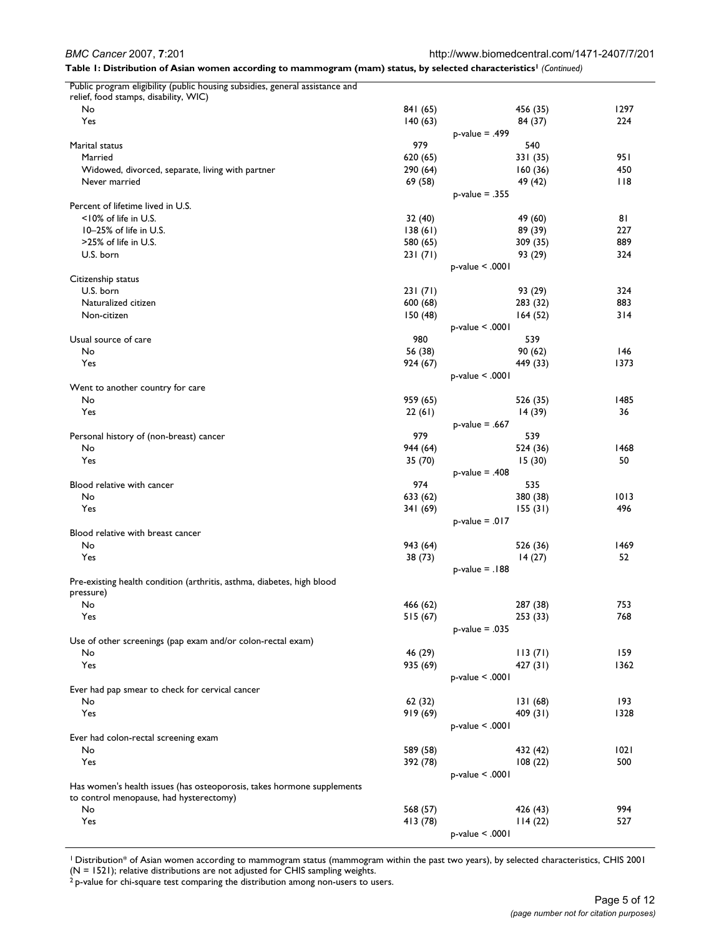**Table 1: Distribution of Asian women according to mammogram (mam) status, by selected characteristics1** *(Continued)*

| Public program eligibility (public housing subsidies, general assistance and |          |                      |          |           |
|------------------------------------------------------------------------------|----------|----------------------|----------|-----------|
| relief, food stamps, disability, WIC)                                        |          |                      |          |           |
| No                                                                           | 841 (65) |                      | 456 (35) | 1297      |
| Yes                                                                          | 140(63)  |                      | 84 (37)  | 224       |
|                                                                              |          | $p$ -value = .499    |          |           |
| Marital status                                                               | 979      |                      | 540      |           |
| Married                                                                      | 620 (65) |                      | 331(35)  | 95 I      |
| Widowed, divorced, separate, living with partner                             | 290 (64) |                      | 160(36)  | 450       |
| Never married                                                                | 69 (58)  |                      | 49 (42)  | $ $ $ $ 8 |
|                                                                              |          | $p$ -value = .355    |          |           |
| Percent of lifetime lived in U.S.                                            |          |                      |          |           |
| <10% of life in U.S.                                                         | 32(40)   |                      | 49 (60)  | 81        |
| 10-25% of life in U.S.                                                       | 138(61)  |                      | 89 (39)  | 227       |
| >25% of life in U.S.                                                         | 580 (65) |                      | 309 (35) | 889       |
| U.S. born                                                                    | 231(71)  |                      | 93 (29)  | 324       |
|                                                                              |          | $p-value < .0001$    |          |           |
| Citizenship status                                                           |          |                      |          |           |
| U.S. born                                                                    | 231 (71) |                      | 93 (29)  | 324       |
| Naturalized citizen                                                          | 600 (68) |                      | 283 (32) | 883       |
| Non-citizen                                                                  | 150(48)  |                      | 164(52)  | 314       |
|                                                                              |          | $p$ -value $< .0001$ |          |           |
| Usual source of care                                                         | 980      |                      | 539      |           |
| No                                                                           | 56 (38)  |                      | 90(62)   | 146       |
| Yes                                                                          | 924 (67) |                      | 449 (33) | 1373      |
|                                                                              |          | $p$ -value $< .0001$ |          |           |
| Went to another country for care                                             |          |                      |          |           |
| No                                                                           | 959 (65) |                      | 526 (35) | 1485      |
| Yes                                                                          | 22(61)   |                      | 14(39)   | 36        |
|                                                                              |          | $p$ -value = .667    |          |           |
|                                                                              | 979      |                      | 539      |           |
| Personal history of (non-breast) cancer                                      |          |                      |          |           |
| No                                                                           | 944 (64) |                      | 524 (36) | 1468      |
| Yes                                                                          | 35 (70)  |                      | 15(30)   | 50        |
|                                                                              |          | $p$ -value = .408    |          |           |
| Blood relative with cancer                                                   | 974      |                      | 535      |           |
| No                                                                           | 633 (62) |                      | 380 (38) | 1013      |
| Yes                                                                          | 341 (69) |                      | 155(31)  | 496       |
|                                                                              |          | $p-value = .017$     |          |           |
| Blood relative with breast cancer                                            |          |                      |          |           |
| No                                                                           | 943 (64) |                      | 526 (36) | 1469      |
| Yes                                                                          | 38 (73)  |                      | 14(27)   | 52        |
|                                                                              |          | $p-value = .188$     |          |           |
| Pre-existing health condition (arthritis, asthma, diabetes, high blood       |          |                      |          |           |
| pressure)                                                                    |          |                      |          |           |
| No                                                                           | 466 (62) |                      | 287 (38) | 753       |
| Yes                                                                          | 515(67)  |                      | 253(33)  | 768       |
|                                                                              |          | $p-value = .035$     |          |           |
| Use of other screenings (pap exam and/or colon-rectal exam)                  |          |                      |          |           |
| No                                                                           | 46 (29)  |                      | 113(71)  | 159       |
| Yes                                                                          | 935 (69) |                      | 427 (31) | 1362      |
|                                                                              |          | $p-value < .0001$    |          |           |
| Ever had pap smear to check for cervical cancer                              |          |                      |          |           |
| No                                                                           | 62(32)   |                      | 131(68)  | 193       |
| Yes                                                                          | 919 (69) |                      | 409(31)  | 1328      |
|                                                                              |          | $p-value < .0001$    |          |           |
| Ever had colon-rectal screening exam                                         |          |                      |          |           |
| No                                                                           | 589 (58) |                      | 432 (42) | 1021      |
| $\mathsf{Yes}$                                                               | 392 (78) |                      | 108(22)  | 500       |
|                                                                              |          | $p-value < .0001$    |          |           |
| Has women's health issues (has osteoporosis, takes hormone supplements       |          |                      |          |           |
| to control menopause, had hysterectomy)                                      |          |                      |          |           |
| No                                                                           | 568 (57) |                      | 426 (43) | 994       |
| Yes                                                                          | 413 (78) |                      | 114(22)  | 527       |
|                                                                              |          | $p-value < .0001$    |          |           |

1 Distribution\* of Asian women according to mammogram status (mammogram within the past two years), by selected characteristics, CHIS 2001 (N = 1521); relative distributions are not adjusted for CHIS sampling weights.

2 p-value for chi-square test comparing the distribution among non-users to users.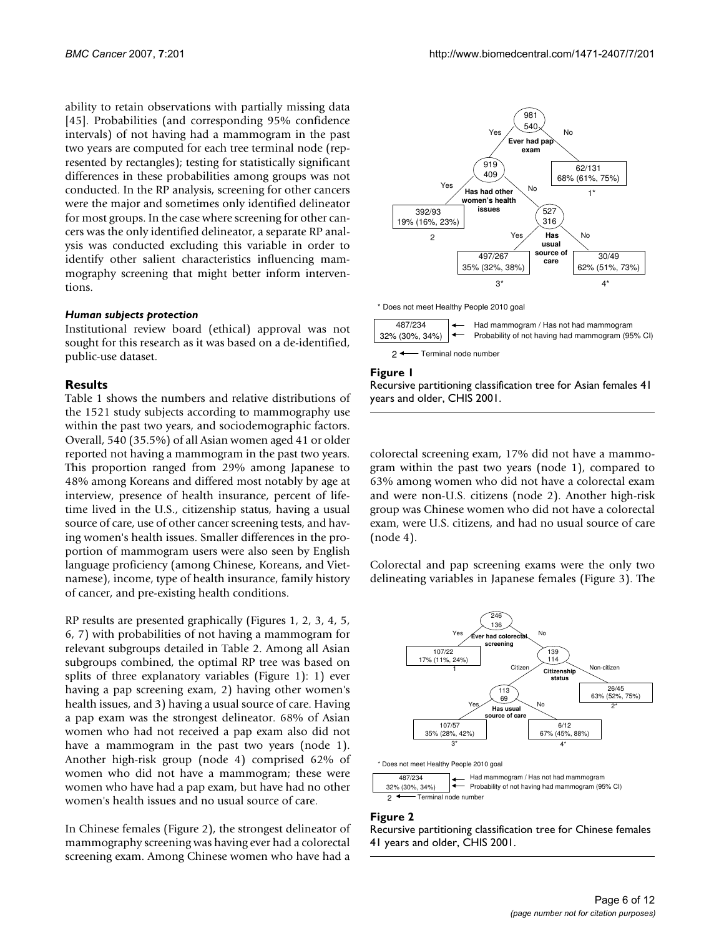ability to retain observations with partially missing data [45]. Probabilities (and corresponding 95% confidence intervals) of not having had a mammogram in the past two years are computed for each tree terminal node (represented by rectangles); testing for statistically significant differences in these probabilities among groups was not conducted. In the RP analysis, screening for other cancers were the major and sometimes only identified delineator for most groups. In the case where screening for other cancers was the only identified delineator, a separate RP analysis was conducted excluding this variable in order to identify other salient characteristics influencing mammography screening that might better inform interventions.

#### *Human subjects protection*

Institutional review board (ethical) approval was not sought for this research as it was based on a de-identified, public-use dataset.

# **Results**

Table 1 shows the numbers and relative distributions of the 1521 study subjects according to mammography use within the past two years, and sociodemographic factors. Overall, 540 (35.5%) of all Asian women aged 41 or older reported not having a mammogram in the past two years. This proportion ranged from 29% among Japanese to 48% among Koreans and differed most notably by age at interview, presence of health insurance, percent of lifetime lived in the U.S., citizenship status, having a usual source of care, use of other cancer screening tests, and having women's health issues. Smaller differences in the proportion of mammogram users were also seen by English language proficiency (among Chinese, Koreans, and Vietnamese), income, type of health insurance, family history of cancer, and pre-existing health conditions.

RP results are presented graphically (Figures 1, 2, 3, 4, 5, 6, 7) with probabilities of not having a mammogram for relevant subgroups detailed in Table 2. Among all Asian subgroups combined, the optimal RP tree was based on splits of three explanatory variables (Figure 1): 1) ever having a pap screening exam, 2) having other women's health issues, and 3) having a usual source of care. Having a pap exam was the strongest delineator. 68% of Asian women who had not received a pap exam also did not have a mammogram in the past two years (node 1). Another high-risk group (node 4) comprised 62% of women who did not have a mammogram; these were women who have had a pap exam, but have had no other women's health issues and no usual source of care.

In Chinese females (Figure 2), the strongest delineator of mammography screening was having ever had a colorectal screening exam. Among Chinese women who have had a







2  $\leftarrow$  Terminal node number

#### **Figure 1**

Recursive partitioning classification tree for Asian females 41 years and older, CHIS 2001.

colorectal screening exam, 17% did not have a mammogram within the past two years (node 1), compared to 63% among women who did not have a colorectal exam and were non-U.S. citizens (node 2). Another high-risk group was Chinese women who did not have a colorectal exam, were U.S. citizens, and had no usual source of care (node 4).

Colorectal and pap screening exams were the only two delineating variables in Japanese females (Figure 3). The



#### **Figure 2**

Recursive partitioning classification tree for Chinese females 41 years and older, CHIS 2001.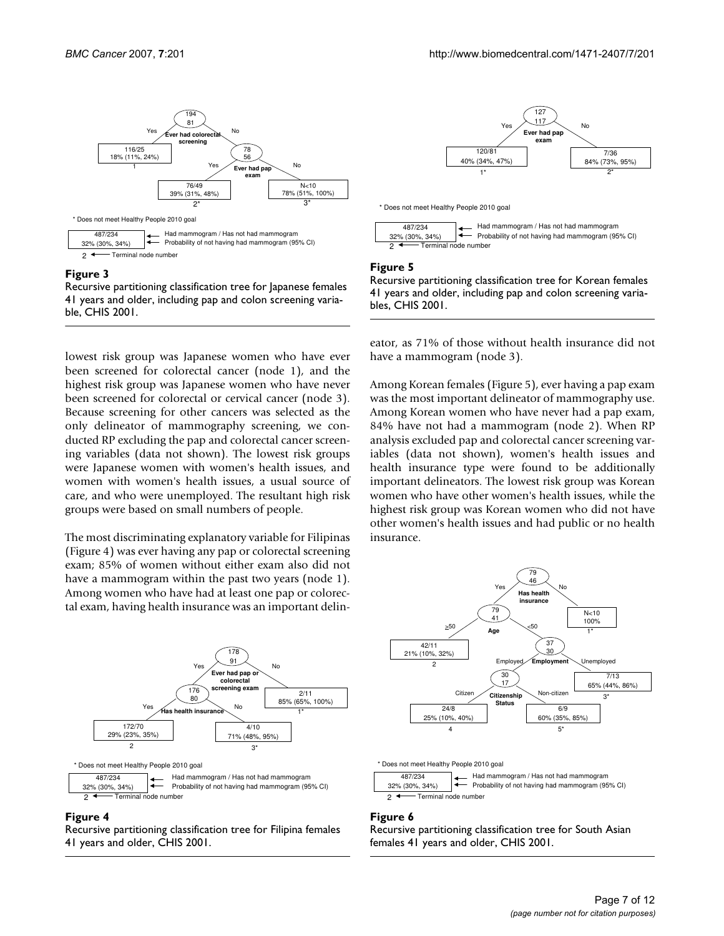

#### Figure 3

Recursive partitioning classification tree for Japanese females 41 years and older, including pap and colon screening variable, CHIS 2001.

lowest risk group was Japanese women who have ever been screened for colorectal cancer (node 1), and the highest risk group was Japanese women who have never been screened for colorectal or cervical cancer (node 3). Because screening for other cancers was selected as the only delineator of mammography screening, we conducted RP excluding the pap and colorectal cancer screening variables (data not shown). The lowest risk groups were Japanese women with women's health issues, and women with women's health issues, a usual source of care, and who were unemployed. The resultant high risk groups were based on small numbers of people.

The most discriminating explanatory variable for Filipinas (Figure 4) was ever having any pap or colorectal screening exam; 85% of women without either exam also did not have a mammogram within the past two years (node 1). Among women who have had at least one pap or colorectal exam, having health insurance was an important delin-



#### Figure 4

Recursive partitioning classification tree for Filipina females 41 years and older, CHIS 2001.



\* Does not meet Healthy People 2010 goal



#### Figure 5

Recursive partitioning classification tree for Korean females 41 years and older, including pap and colon screening variables, CHIS 2001.

eator, as 71% of those without health insurance did not have a mammogram (node 3).

Among Korean females (Figure 5), ever having a pap exam was the most important delineator of mammography use. Among Korean women who have never had a pap exam, 84% have not had a mammogram (node 2). When RP analysis excluded pap and colorectal cancer screening variables (data not shown), women's health issues and health insurance type were found to be additionally important delineators. The lowest risk group was Korean women who have other women's health issues, while the highest risk group was Korean women who did not have other women's health issues and had public or no health insurance.



Recursive partitioning classification tree for South Asian females 41 years and older, CHIS 2001.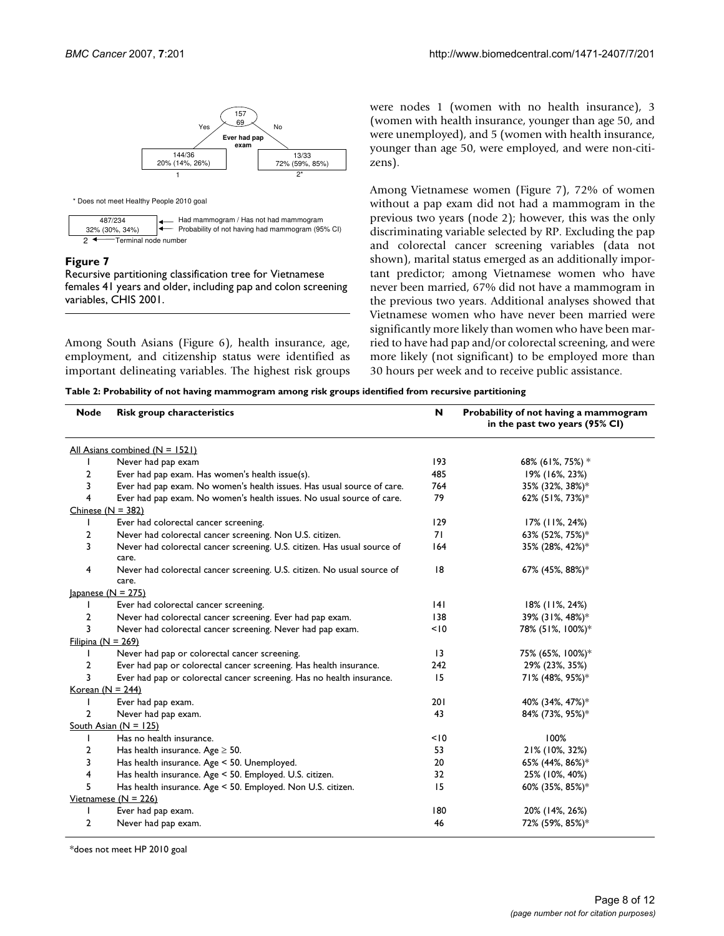

\* Does not meet Healthy People 2010 goal



#### Figure 7

Recursive partitioning classification tree for Vietnamese females 41 years and older, including pap and colon screening variables, CHIS 2001.

Among South Asians (Figure 6), health insurance, age, employment, and citizenship status were identified as important delineating variables. The highest risk groups were nodes 1 (women with no health insurance), 3 (women with health insurance, younger than age 50, and were unemployed), and 5 (women with health insurance, younger than age 50, were employed, and were non-citizens).

Among Vietnamese women (Figure 7), 72% of women without a pap exam did not had a mammogram in the previous two years (node 2); however, this was the only discriminating variable selected by RP. Excluding the pap and colorectal cancer screening variables (data not shown), marital status emerged as an additionally important predictor; among Vietnamese women who have never been married, 67% did not have a mammogram in the previous two years. Additional analyses showed that Vietnamese women who have never been married were significantly more likely than women who have been married to have had pap and/or colorectal screening, and were more likely (not significant) to be employed more than 30 hours per week and to receive public assistance.

**Table 2: Probability of not having mammogram among risk groups identified from recursive partitioning**

| <b>Node</b>            | <b>Risk group characteristics</b>                                        | N               | Probability of not having a mammogram<br>in the past two years (95% CI) |
|------------------------|--------------------------------------------------------------------------|-----------------|-------------------------------------------------------------------------|
|                        | All Asians combined $(N = 1521)$                                         |                 |                                                                         |
|                        | Never had pap exam                                                       | 193             | 68% (61%, 75%) *                                                        |
| 2                      | Ever had pap exam. Has women's health issue(s).                          | 485             | 19% (16%, 23%)                                                          |
| 3                      | Ever had pap exam. No women's health issues. Has usual source of care.   | 764             | 35% (32%, 38%)*                                                         |
| 4                      | Ever had pap exam. No women's health issues. No usual source of care.    | 79              | 62% (51%, 73%)*                                                         |
| Chinese $(N = 382)$    |                                                                          |                 |                                                                         |
|                        | Ever had colorectal cancer screening.                                    | 129             | 17% (11%, 24%)                                                          |
| 2                      | Never had colorectal cancer screening. Non U.S. citizen.                 | 71              | 63% (52%, 75%)*                                                         |
| 3                      | Never had colorectal cancer screening. U.S. citizen. Has usual source of | 164             | 35% (28%, 42%)*                                                         |
|                        | care.                                                                    |                 |                                                                         |
| 4                      | Never had colorectal cancer screening. U.S. citizen. No usual source of  | 18              | 67% (45%, 88%)*                                                         |
|                        | care.                                                                    |                 |                                                                         |
| Japanese ( $N = 275$ ) |                                                                          |                 |                                                                         |
| I.                     | Ever had colorectal cancer screening.                                    | 4               | 18% (11%, 24%)                                                          |
| 2                      | Never had colorectal cancer screening. Ever had pap exam.                | 138             | 39% (31%, 48%)*                                                         |
| 3                      | Never had colorectal cancer screening. Never had pap exam.               | < 10            | 78% (51%, 100%)*                                                        |
| Filipina $(N = 269)$   |                                                                          |                 |                                                                         |
|                        | Never had pap or colorectal cancer screening.                            | $\overline{13}$ | 75% (65%, 100%)*                                                        |
| $\overline{2}$         | Ever had pap or colorectal cancer screening. Has health insurance.       | 242             | 29% (23%, 35%)                                                          |
| 3                      | Ever had pap or colorectal cancer screening. Has no health insurance.    | 15              | 71% (48%, 95%)*                                                         |
| Korean $(N = 244)$     |                                                                          |                 |                                                                         |
|                        | Ever had pap exam.                                                       | <b>201</b>      | 40% (34%, 47%)*                                                         |
| 2                      | Never had pap exam.                                                      | 43              | 84% (73%, 95%)*                                                         |
|                        | South Asian ( $N = 125$ )                                                |                 |                                                                         |
|                        | Has no health insurance.                                                 | 10              | 100%                                                                    |
| 2                      | Has health insurance. Age $\geq$ 50.                                     | 53              | 21% (10%, 32%)                                                          |
| 3                      | Has health insurance. Age < 50. Unemployed.                              | 20              | 65% (44%, 86%)*                                                         |
| 4                      | Has health insurance. Age < 50. Employed. U.S. citizen.                  | 32              | 25% (10%, 40%)                                                          |
| 5                      | Has health insurance. Age < 50. Employed. Non U.S. citizen.              | 15              | 60% (35%, 85%)*                                                         |
|                        | Vietnamese ( $N = 226$ )                                                 |                 |                                                                         |
|                        | Ever had pap exam.                                                       | 180             | 20% (14%, 26%)                                                          |
| 2                      | Never had pap exam.                                                      | 46              | 72% (59%, 85%)*                                                         |
|                        |                                                                          |                 |                                                                         |

\*does not meet HP 2010 goal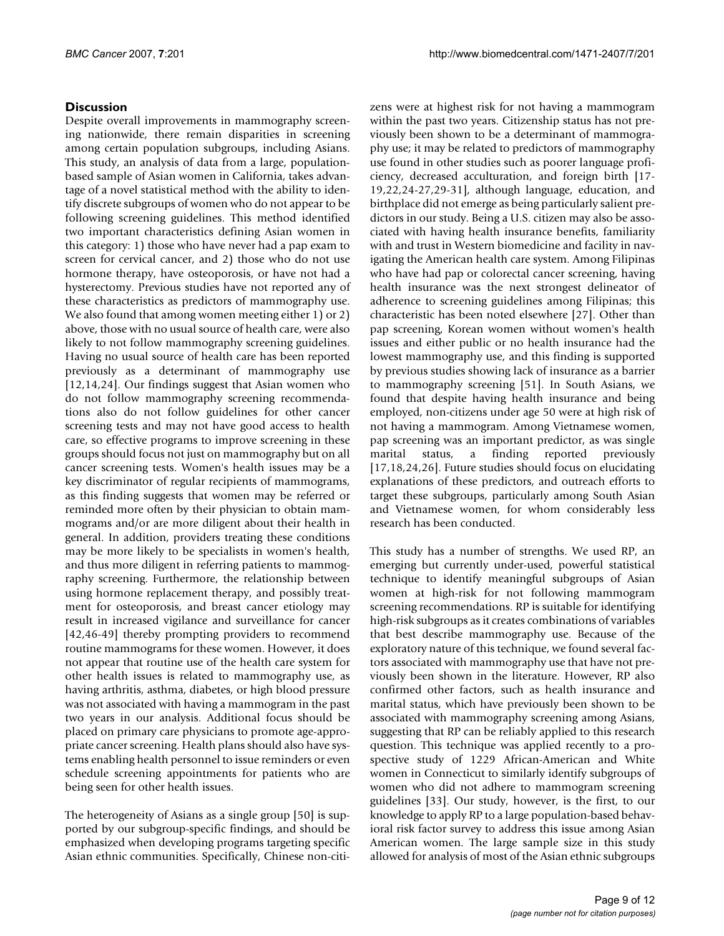# **Discussion**

Despite overall improvements in mammography screening nationwide, there remain disparities in screening among certain population subgroups, including Asians. This study, an analysis of data from a large, populationbased sample of Asian women in California, takes advantage of a novel statistical method with the ability to identify discrete subgroups of women who do not appear to be following screening guidelines. This method identified two important characteristics defining Asian women in this category: 1) those who have never had a pap exam to screen for cervical cancer, and 2) those who do not use hormone therapy, have osteoporosis, or have not had a hysterectomy. Previous studies have not reported any of these characteristics as predictors of mammography use. We also found that among women meeting either 1) or 2) above, those with no usual source of health care, were also likely to not follow mammography screening guidelines. Having no usual source of health care has been reported previously as a determinant of mammography use [12,14,24]. Our findings suggest that Asian women who do not follow mammography screening recommendations also do not follow guidelines for other cancer screening tests and may not have good access to health care, so effective programs to improve screening in these groups should focus not just on mammography but on all cancer screening tests. Women's health issues may be a key discriminator of regular recipients of mammograms, as this finding suggests that women may be referred or reminded more often by their physician to obtain mammograms and/or are more diligent about their health in general. In addition, providers treating these conditions may be more likely to be specialists in women's health, and thus more diligent in referring patients to mammography screening. Furthermore, the relationship between using hormone replacement therapy, and possibly treatment for osteoporosis, and breast cancer etiology may result in increased vigilance and surveillance for cancer [42,46-49] thereby prompting providers to recommend routine mammograms for these women. However, it does not appear that routine use of the health care system for other health issues is related to mammography use, as having arthritis, asthma, diabetes, or high blood pressure was not associated with having a mammogram in the past two years in our analysis. Additional focus should be placed on primary care physicians to promote age-appropriate cancer screening. Health plans should also have systems enabling health personnel to issue reminders or even schedule screening appointments for patients who are being seen for other health issues.

The heterogeneity of Asians as a single group [50] is supported by our subgroup-specific findings, and should be emphasized when developing programs targeting specific Asian ethnic communities. Specifically, Chinese non-citizens were at highest risk for not having a mammogram within the past two years. Citizenship status has not previously been shown to be a determinant of mammography use; it may be related to predictors of mammography use found in other studies such as poorer language proficiency, decreased acculturation, and foreign birth [17- 19,22,24-27,29-31], although language, education, and birthplace did not emerge as being particularly salient predictors in our study. Being a U.S. citizen may also be associated with having health insurance benefits, familiarity with and trust in Western biomedicine and facility in navigating the American health care system. Among Filipinas who have had pap or colorectal cancer screening, having health insurance was the next strongest delineator of adherence to screening guidelines among Filipinas; this characteristic has been noted elsewhere [27]. Other than pap screening, Korean women without women's health issues and either public or no health insurance had the lowest mammography use, and this finding is supported by previous studies showing lack of insurance as a barrier to mammography screening [51]. In South Asians, we found that despite having health insurance and being employed, non-citizens under age 50 were at high risk of not having a mammogram. Among Vietnamese women, pap screening was an important predictor, as was single marital status, a finding reported previously [17,18,24,26]. Future studies should focus on elucidating explanations of these predictors, and outreach efforts to target these subgroups, particularly among South Asian and Vietnamese women, for whom considerably less research has been conducted.

This study has a number of strengths. We used RP, an emerging but currently under-used, powerful statistical technique to identify meaningful subgroups of Asian women at high-risk for not following mammogram screening recommendations. RP is suitable for identifying high-risk subgroups as it creates combinations of variables that best describe mammography use. Because of the exploratory nature of this technique, we found several factors associated with mammography use that have not previously been shown in the literature. However, RP also confirmed other factors, such as health insurance and marital status, which have previously been shown to be associated with mammography screening among Asians, suggesting that RP can be reliably applied to this research question. This technique was applied recently to a prospective study of 1229 African-American and White women in Connecticut to similarly identify subgroups of women who did not adhere to mammogram screening guidelines [33]. Our study, however, is the first, to our knowledge to apply RP to a large population-based behavioral risk factor survey to address this issue among Asian American women. The large sample size in this study allowed for analysis of most of the Asian ethnic subgroups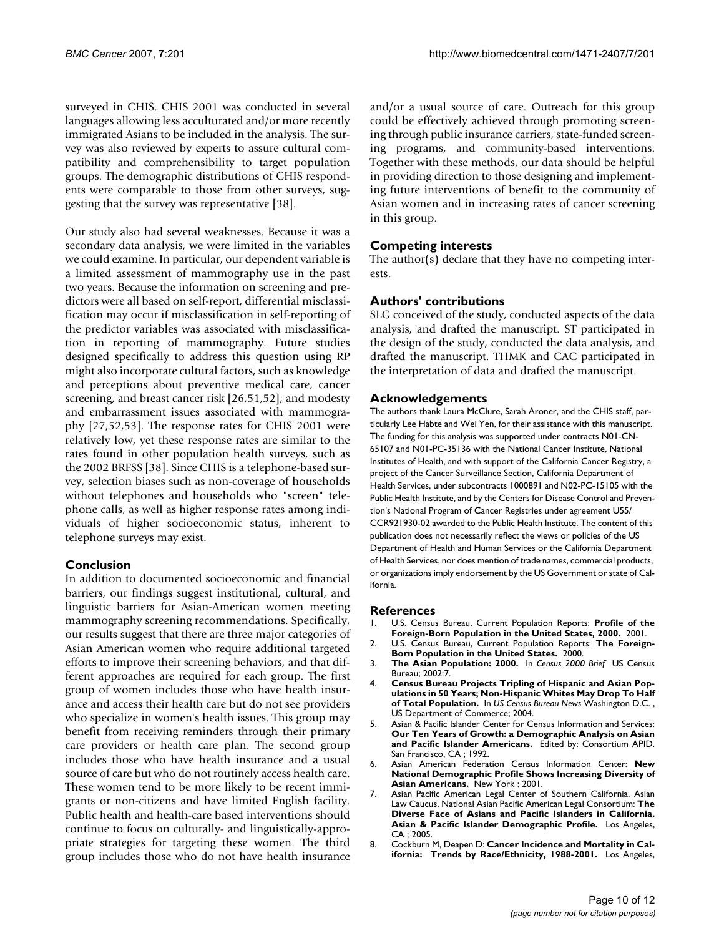surveyed in CHIS. CHIS 2001 was conducted in several languages allowing less acculturated and/or more recently immigrated Asians to be included in the analysis. The survey was also reviewed by experts to assure cultural compatibility and comprehensibility to target population groups. The demographic distributions of CHIS respondents were comparable to those from other surveys, suggesting that the survey was representative [38].

Our study also had several weaknesses. Because it was a secondary data analysis, we were limited in the variables we could examine. In particular, our dependent variable is a limited assessment of mammography use in the past two years. Because the information on screening and predictors were all based on self-report, differential misclassification may occur if misclassification in self-reporting of the predictor variables was associated with misclassification in reporting of mammography. Future studies designed specifically to address this question using RP might also incorporate cultural factors, such as knowledge and perceptions about preventive medical care, cancer screening, and breast cancer risk [26,51,52]; and modesty and embarrassment issues associated with mammography [27,52,53]. The response rates for CHIS 2001 were relatively low, yet these response rates are similar to the rates found in other population health surveys, such as the 2002 BRFSS [38]. Since CHIS is a telephone-based survey, selection biases such as non-coverage of households without telephones and households who "screen" telephone calls, as well as higher response rates among individuals of higher socioeconomic status, inherent to telephone surveys may exist.

# **Conclusion**

In addition to documented socioeconomic and financial barriers, our findings suggest institutional, cultural, and linguistic barriers for Asian-American women meeting mammography screening recommendations. Specifically, our results suggest that there are three major categories of Asian American women who require additional targeted efforts to improve their screening behaviors, and that different approaches are required for each group. The first group of women includes those who have health insurance and access their health care but do not see providers who specialize in women's health issues. This group may benefit from receiving reminders through their primary care providers or health care plan. The second group includes those who have health insurance and a usual source of care but who do not routinely access health care. These women tend to be more likely to be recent immigrants or non-citizens and have limited English facility. Public health and health-care based interventions should continue to focus on culturally- and linguistically-appropriate strategies for targeting these women. The third group includes those who do not have health insurance and/or a usual source of care. Outreach for this group could be effectively achieved through promoting screening through public insurance carriers, state-funded screening programs, and community-based interventions. Together with these methods, our data should be helpful in providing direction to those designing and implementing future interventions of benefit to the community of Asian women and in increasing rates of cancer screening in this group.

# **Competing interests**

The author(s) declare that they have no competing interests.

# **Authors' contributions**

SLG conceived of the study, conducted aspects of the data analysis, and drafted the manuscript. ST participated in the design of the study, conducted the data analysis, and drafted the manuscript. THMK and CAC participated in the interpretation of data and drafted the manuscript.

# **Acknowledgements**

The authors thank Laura McClure, Sarah Aroner, and the CHIS staff, particularly Lee Habte and Wei Yen, for their assistance with this manuscript. The funding for this analysis was supported under contracts N01-CN-65107 and N01-PC-35136 with the National Cancer Institute, National Institutes of Health, and with support of the California Cancer Registry, a project of the Cancer Surveillance Section, California Department of Health Services, under subcontracts 1000891 and N02-PC-15105 with the Public Health Institute, and by the Centers for Disease Control and Prevention's National Program of Cancer Registries under agreement U55/ CCR921930-02 awarded to the Public Health Institute. The content of this publication does not necessarily reflect the views or policies of the US Department of Health and Human Services or the California Department of Health Services, nor does mention of trade names, commercial products, or organizations imply endorsement by the US Government or state of California.

#### **References**

- 1. U.S. Census Bureau, Current Population Reports: **Profile of the Foreign-Born Population in the United States, 2000.** 2001.
- 2. U.S. Census Bureau, Current Population Reports: **The Foreign-Born Population in the United States.** 2000.
- 3. **The Asian Population: 2000.** In *Census 2000 Brief* US Census Bureau; 2002:7.
- 4. **Census Bureau Projects Tripling of Hispanic and Asian Populations in 50 Years; Non-Hispanic Whites May Drop To Half of Total Population.** In *US Census Bureau News* Washington D.C. , US Department of Commerce; 2004.
- Asian & Pacific Islander Center for Census Information and Services: **Our Ten Years of Growth: a Demographic Analysis on Asian and Pacific Islander Americans.** Edited by: Consortium APID. San Francisco, CA ; 1992.
- 6. Asian American Federation Census Information Center: **New National Demographic Profile Shows Increasing Diversity of Asian Americans.** New York ; 2001.
- 7. Asian Pacific American Legal Center of Southern California, Asian Law Caucus, National Asian Pacific American Legal Consortium: **The Diverse Face of Asians and Pacific Islanders in California. Asian & Pacific Islander Demographic Profile.** Los Angeles, CA ; 2005.
- 8. Cockburn M, Deapen D: **Cancer Incidence and Mortality in California: Trends by Race/Ethnicity, 1988-2001.** Los Angeles,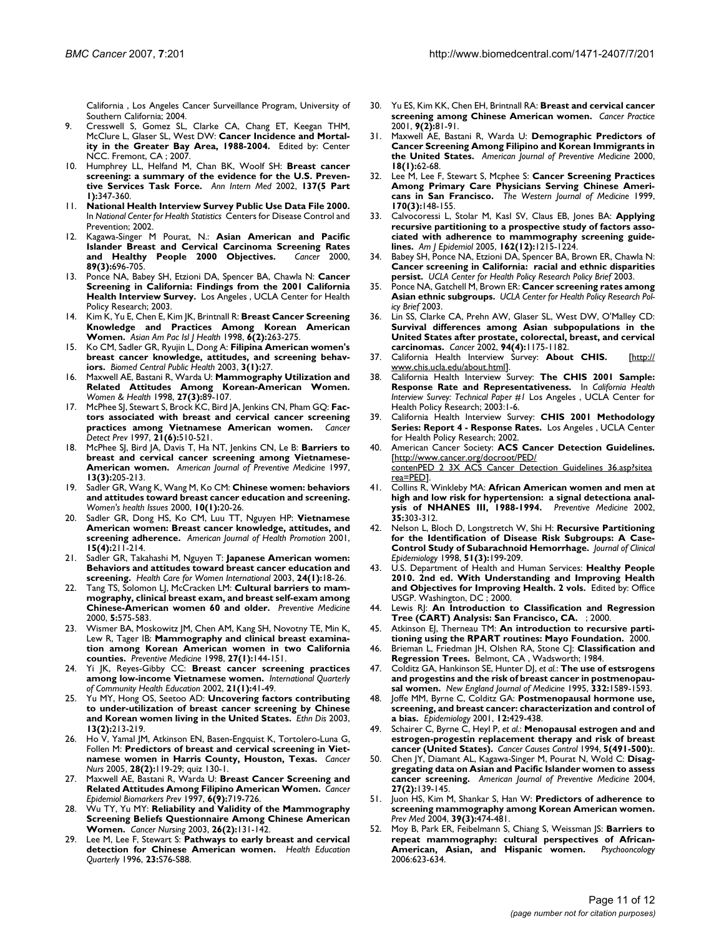California , Los Angeles Cancer Surveillance Program, University of Southern California; 2004.

- 9. Cresswell S, Gomez SL, Clarke CA, Chang ET, Keegan THM, McClure L, Glaser SL, West DW: **Cancer Incidence and Mortality in the Greater Bay Area, 1988-2004.** Edited by: Center NCC. Fremont, CA ; 2007.
- 10. Humphrey LL, Helfand M, Chan BK, Woolf SH: **[Breast cancer](http://www.ncbi.nlm.nih.gov/entrez/query.fcgi?cmd=Retrieve&db=PubMed&dopt=Abstract&list_uids=12204020) [screening: a summary of the evidence for the U.S. Preven](http://www.ncbi.nlm.nih.gov/entrez/query.fcgi?cmd=Retrieve&db=PubMed&dopt=Abstract&list_uids=12204020)[tive Services Task Force.](http://www.ncbi.nlm.nih.gov/entrez/query.fcgi?cmd=Retrieve&db=PubMed&dopt=Abstract&list_uids=12204020)** *Ann Intern Med* 2002, **137(5 Part 1):**347-360.
- 11. **National Health Interview Survey Public Use Data File 2000.** In *National Center for Health Statistics* Centers for Disease Control and Prevention; 2002.
- 12. Kagawa-Singer M Pourat, N.: **[Asian American and Pacific](http://www.ncbi.nlm.nih.gov/entrez/query.fcgi?cmd=Retrieve&db=PubMed&dopt=Abstract&list_uids=10931471) [Islander Breast and Cervical Carcinoma Screening Rates](http://www.ncbi.nlm.nih.gov/entrez/query.fcgi?cmd=Retrieve&db=PubMed&dopt=Abstract&list_uids=10931471)** [and Healthy People 2000 Objectives.](http://www.ncbi.nlm.nih.gov/entrez/query.fcgi?cmd=Retrieve&db=PubMed&dopt=Abstract&list_uids=10931471) **89(3):**696-705.
- 13. Ponce NA, Babey SH, Etzioni DA, Spencer BA, Chawla N: **Cancer Screening in California: Findings from the 2001 California Health Interview Survey.** Los Angeles , UCLA Center for Health Policy Research; 2003.
- 14. Kim K, Yu E, Chen E, Kim JK, Brintnall R: **[Breast Cancer Screening](http://www.ncbi.nlm.nih.gov/entrez/query.fcgi?cmd=Retrieve&db=PubMed&dopt=Abstract&list_uids=11567448) [Knowledge and Practices Among Korean American](http://www.ncbi.nlm.nih.gov/entrez/query.fcgi?cmd=Retrieve&db=PubMed&dopt=Abstract&list_uids=11567448) [Women.](http://www.ncbi.nlm.nih.gov/entrez/query.fcgi?cmd=Retrieve&db=PubMed&dopt=Abstract&list_uids=11567448)** *Asian Am Pac Isl J Health* 1998, **6(2):**263-275.
- 15. Ko CM, Sadler GR, Ryujin L, Dong A: **[Filipina American women's](http://www.ncbi.nlm.nih.gov/entrez/query.fcgi?cmd=Retrieve&db=PubMed&dopt=Abstract&list_uids=12921541) [breast cancer knowledge, attitudes, and screening behav](http://www.ncbi.nlm.nih.gov/entrez/query.fcgi?cmd=Retrieve&db=PubMed&dopt=Abstract&list_uids=12921541)[iors.](http://www.ncbi.nlm.nih.gov/entrez/query.fcgi?cmd=Retrieve&db=PubMed&dopt=Abstract&list_uids=12921541)** *Biomed Central Public Health* 2003, **3(1):**27.
- 16. Maxwell AE, Bastani R, Warda U: **[Mammography Utilization and](http://www.ncbi.nlm.nih.gov/entrez/query.fcgi?cmd=Retrieve&db=PubMed&dopt=Abstract&list_uids=9698640) [Related Attitudes Among Korean-American Women.](http://www.ncbi.nlm.nih.gov/entrez/query.fcgi?cmd=Retrieve&db=PubMed&dopt=Abstract&list_uids=9698640)** *Women & Health* 1998, **27(3):**89-107.
- 17. McPhee SJ, Stewart S, Brock KC, Bird JA, Jenkins CN, Pham GQ: **[Fac](http://www.ncbi.nlm.nih.gov/entrez/query.fcgi?cmd=Retrieve&db=PubMed&dopt=Abstract&list_uids=9398991)[tors associated with breast and cervical cancer screening](http://www.ncbi.nlm.nih.gov/entrez/query.fcgi?cmd=Retrieve&db=PubMed&dopt=Abstract&list_uids=9398991) [practices among Vietnamese American women.](http://www.ncbi.nlm.nih.gov/entrez/query.fcgi?cmd=Retrieve&db=PubMed&dopt=Abstract&list_uids=9398991)** *Cancer Detect Prev* 1997, **21(6):**510-521.
- 18. McPhee SJ, Bird JA, Davis T, Ha NT, Jenkins CN, Le B: **[Barriers to](http://www.ncbi.nlm.nih.gov/entrez/query.fcgi?cmd=Retrieve&db=PubMed&dopt=Abstract&list_uids=9181209) [breast and cervical cancer screening among Vietnamese-](http://www.ncbi.nlm.nih.gov/entrez/query.fcgi?cmd=Retrieve&db=PubMed&dopt=Abstract&list_uids=9181209)[American women.](http://www.ncbi.nlm.nih.gov/entrez/query.fcgi?cmd=Retrieve&db=PubMed&dopt=Abstract&list_uids=9181209)** *American Journal of Preventive Medicine* 1997, **13(3):**205-213.
- 19. Sadler GR, Wang K, Wang M, Ko CM: **[Chinese women: behaviors](http://www.ncbi.nlm.nih.gov/entrez/query.fcgi?cmd=Retrieve&db=PubMed&dopt=Abstract&list_uids=10697465) [and attitudes toward breast cancer education and screening.](http://www.ncbi.nlm.nih.gov/entrez/query.fcgi?cmd=Retrieve&db=PubMed&dopt=Abstract&list_uids=10697465)** *Women's health Issues* 2000, **10(1):**20-26.
- 20. Sadler GR, Dong HS, Ko CM, Luu TT, Nguyen HP: **[Vietnamese](http://www.ncbi.nlm.nih.gov/entrez/query.fcgi?cmd=Retrieve&db=PubMed&dopt=Abstract&list_uids=11349339) [American women: Breast cancer knowledge, attitudes, and](http://www.ncbi.nlm.nih.gov/entrez/query.fcgi?cmd=Retrieve&db=PubMed&dopt=Abstract&list_uids=11349339) [screening adherence.](http://www.ncbi.nlm.nih.gov/entrez/query.fcgi?cmd=Retrieve&db=PubMed&dopt=Abstract&list_uids=11349339)** *American Journal of Health Promotion* 2001, **15(4):**211-214.
- Sadler GR, Takahashi M, Nguyen T: [Japanese American women:](http://www.ncbi.nlm.nih.gov/entrez/query.fcgi?cmd=Retrieve&db=PubMed&dopt=Abstract&list_uids=12746028) **[Behaviors and attitudes toward breast cancer education and](http://www.ncbi.nlm.nih.gov/entrez/query.fcgi?cmd=Retrieve&db=PubMed&dopt=Abstract&list_uids=12746028) [screening.](http://www.ncbi.nlm.nih.gov/entrez/query.fcgi?cmd=Retrieve&db=PubMed&dopt=Abstract&list_uids=12746028)** *Health Care for Women International* 2003, **24(1):**18-26.
- 22. Tang TS, Solomon LJ, McCracken LM: **Cultural barriers to mammography, clinical breast exam, and breast self-exam among Chinese-American women 60 and older.** *Preventive Medicine* 2000, **5:**575-583.
- 23. Wismer BA, Moskowitz JM, Chen AM, Kang SH, Novotny TE, Min K, Lew R, Tager IB: **[Mammography and clinical breast examina](http://www.ncbi.nlm.nih.gov/entrez/query.fcgi?cmd=Retrieve&db=PubMed&dopt=Abstract&list_uids=9465365)[tion among Korean American women in two California](http://www.ncbi.nlm.nih.gov/entrez/query.fcgi?cmd=Retrieve&db=PubMed&dopt=Abstract&list_uids=9465365) [counties.](http://www.ncbi.nlm.nih.gov/entrez/query.fcgi?cmd=Retrieve&db=PubMed&dopt=Abstract&list_uids=9465365)** *Preventive Medicine* 1998, **27(1):**144-151.
- 24. Yi JK, Reyes-Gibby CC: **Breast cancer screening practices among low-income Vietnamese women.** *International Quarterly of Community Health Education* 2002, **21(1):**41-49.
- 25. Yu MY, Hong OS, Seetoo AD: **[Uncovering factors contributing](http://www.ncbi.nlm.nih.gov/entrez/query.fcgi?cmd=Retrieve&db=PubMed&dopt=Abstract&list_uids=12785418) [to under-utilization of breast cancer screening by Chinese](http://www.ncbi.nlm.nih.gov/entrez/query.fcgi?cmd=Retrieve&db=PubMed&dopt=Abstract&list_uids=12785418) [and Korean women living in the United States.](http://www.ncbi.nlm.nih.gov/entrez/query.fcgi?cmd=Retrieve&db=PubMed&dopt=Abstract&list_uids=12785418)** *Ethn Dis* 2003, **13(2):**213-219.
- 26. Ho V, Yamal JM, Atkinson EN, Basen-Engquist K, Tortolero-Luna G, Follen M: **[Predictors of breast and cervical screening in Viet](http://www.ncbi.nlm.nih.gov/entrez/query.fcgi?cmd=Retrieve&db=PubMed&dopt=Abstract&list_uids=15815181)[namese women in Harris County, Houston, Texas.](http://www.ncbi.nlm.nih.gov/entrez/query.fcgi?cmd=Retrieve&db=PubMed&dopt=Abstract&list_uids=15815181)** *Cancer Nurs* 2005, **28(2):**119-29; quiz 130-1.
- 27. Maxwell AE, Bastani R, Warda U: **[Breast Cancer Screening and](http://www.ncbi.nlm.nih.gov/entrez/query.fcgi?cmd=Retrieve&db=PubMed&dopt=Abstract&list_uids=9298580) [Related Attitudes Among Filipino American Women.](http://www.ncbi.nlm.nih.gov/entrez/query.fcgi?cmd=Retrieve&db=PubMed&dopt=Abstract&list_uids=9298580)** *Cancer Epidemiol Biomarkers Prev* 1997, **6(9):**719-726.
- 28. Wu TY, Yu MY: **[Reliability and Validity of the Mammography](http://www.ncbi.nlm.nih.gov/entrez/query.fcgi?cmd=Retrieve&db=PubMed&dopt=Abstract&list_uids=12660562) [Screening Beliefs Questionnaire Among Chinese American](http://www.ncbi.nlm.nih.gov/entrez/query.fcgi?cmd=Retrieve&db=PubMed&dopt=Abstract&list_uids=12660562) [Women.](http://www.ncbi.nlm.nih.gov/entrez/query.fcgi?cmd=Retrieve&db=PubMed&dopt=Abstract&list_uids=12660562)** *Cancer Nursing* 2003, **26(2):**131-142.
- 29. Lee M, Lee F, Stewart S: **Pathways to early breast and cervical detection for Chinese American women.** *Health Education Quarterly* 1996, **23:**S76-S88.
- 30. Yu ES, Kim KK, Chen EH, Brintnall RA: **[Breast and cervical cancer](http://www.ncbi.nlm.nih.gov/entrez/query.fcgi?cmd=Retrieve&db=PubMed&dopt=Abstract&list_uids=11879283) [screening among Chinese American women.](http://www.ncbi.nlm.nih.gov/entrez/query.fcgi?cmd=Retrieve&db=PubMed&dopt=Abstract&list_uids=11879283)** *Cancer Practice* 2001, **9(2):**81-91.
- 31. Maxwell AE, Bastani R, Warda U: **[Demographic Predictors of](http://www.ncbi.nlm.nih.gov/entrez/query.fcgi?cmd=Retrieve&db=PubMed&dopt=Abstract&list_uids=10808984) [Cancer Screening Among Filipino and Korean Immigrants in](http://www.ncbi.nlm.nih.gov/entrez/query.fcgi?cmd=Retrieve&db=PubMed&dopt=Abstract&list_uids=10808984) [the United States.](http://www.ncbi.nlm.nih.gov/entrez/query.fcgi?cmd=Retrieve&db=PubMed&dopt=Abstract&list_uids=10808984)** *American Journal of Preventive Medicine* 2000, **18(1):**62-68.
- 32. Lee M, Lee F, Stewart S, Mcphee S: **[Cancer Screening Practices](http://www.ncbi.nlm.nih.gov/entrez/query.fcgi?cmd=Retrieve&db=PubMed&dopt=Abstract&list_uids=10214101) [Among Primary Care Physicians Serving Chinese Ameri](http://www.ncbi.nlm.nih.gov/entrez/query.fcgi?cmd=Retrieve&db=PubMed&dopt=Abstract&list_uids=10214101)[cans in San Francisco.](http://www.ncbi.nlm.nih.gov/entrez/query.fcgi?cmd=Retrieve&db=PubMed&dopt=Abstract&list_uids=10214101)** *The Western Journal of Medicine* 1999, **170(3):**148-155.
- 33. Calvocoressi L, Stolar M, Kasl SV, Claus EB, Jones BA: **[Applying](http://www.ncbi.nlm.nih.gov/entrez/query.fcgi?cmd=Retrieve&db=PubMed&dopt=Abstract&list_uids=16221800) recursive partitioning to a prospective study of factors asso[ciated with adherence to mammography screening guide](http://www.ncbi.nlm.nih.gov/entrez/query.fcgi?cmd=Retrieve&db=PubMed&dopt=Abstract&list_uids=16221800)[lines.](http://www.ncbi.nlm.nih.gov/entrez/query.fcgi?cmd=Retrieve&db=PubMed&dopt=Abstract&list_uids=16221800)** *Am J Epidemiol* 2005, **162(12):**1215-1224.
- 34. Babey SH, Ponce NA, Etzioni DA, Spencer BA, Brown ER, Chawla N: **Cancer screening in California: racial and ethnic disparities persist.** *UCLA Center for Health Policy Research Policy Brief* 2003.
- 35. Ponce NA, Gatchell M, Brown ER: **Cancer screening rates among Asian ethnic subgroups.** *UCLA Center for Health Policy Research Policy Brief* 2003.
- 36. Lin SS, Clarke CA, Prehn AW, Glaser SL, West DW, O'Malley CD: **Survival differences among Asian subpopulations in the [United States after prostate, colorectal, breast, and cervical](http://www.ncbi.nlm.nih.gov/entrez/query.fcgi?cmd=Retrieve&db=PubMed&dopt=Abstract&list_uids=11920489) [carcinomas.](http://www.ncbi.nlm.nih.gov/entrez/query.fcgi?cmd=Retrieve&db=PubMed&dopt=Abstract&list_uids=11920489)** *Cancer* 2002, **94(4):**1175-1182.
- 37. California Health Interview Survey: **About CHIS.** [\[http://](http://www.chis.ucla.edu/about.html) [www.chis.ucla.edu/about.html\]](http://www.chis.ucla.edu/about.html).
- 38. California Health Interview Survey: **The CHIS 2001 Sample: Response Rate and Representativeness.** In *California Health Interview Survey: Technical Paper #1* Los Angeles , UCLA Center for Health Policy Research; 2003:1-6.
- 39. California Health Interview Survey: **CHIS 2001 Methodology Series: Report 4 - Response Rates.** Los Angeles , UCLA Center for Health Policy Research; 2002.
- 40. American Cancer Society: **ACS Cancer Detection Guidelines.** [[http://www.cancer.org/docroot/PED/](http://www.cancer.org/docroot/PED/content/PED_2_3X_ACS_Cancer_Detection_Guidelines_36.asp?sitearea=PED) [contenPED\\_2\\_3X\\_ACS\\_Cancer\\_Detection\\_Guidelines\\_36.asp?sitea](http://www.cancer.org/docroot/PED/content/PED_2_3X_ACS_Cancer_Detection_Guidelines_36.asp?sitearea=PED)
- [rea=PED](http://www.cancer.org/docroot/PED/content/PED_2_3X_ACS_Cancer_Detection_Guidelines_36.asp?sitearea=PED)]. 41. Collins R, Winkleby MA: **[African American women and men at](http://www.ncbi.nlm.nih.gov/entrez/query.fcgi?cmd=Retrieve&db=PubMed&dopt=Abstract&list_uids=12453706) [high and low risk for hypertension: a signal detectiona anal](http://www.ncbi.nlm.nih.gov/entrez/query.fcgi?cmd=Retrieve&db=PubMed&dopt=Abstract&list_uids=12453706)[ysis of NHANES III, 1988-1994.](http://www.ncbi.nlm.nih.gov/entrez/query.fcgi?cmd=Retrieve&db=PubMed&dopt=Abstract&list_uids=12453706)** *Preventive Medicine* 2002, **35:**303-312.
- 42. Nelson L, Bloch D, Longstretch W, Shi H: **[Recursive Partitioning](http://www.ncbi.nlm.nih.gov/entrez/query.fcgi?cmd=Retrieve&db=PubMed&dopt=Abstract&list_uids=9495685) [for the Identification of Disease Risk Subgroups: A Case-](http://www.ncbi.nlm.nih.gov/entrez/query.fcgi?cmd=Retrieve&db=PubMed&dopt=Abstract&list_uids=9495685)[Control Study of Subarachnoid Hemorrhage.](http://www.ncbi.nlm.nih.gov/entrez/query.fcgi?cmd=Retrieve&db=PubMed&dopt=Abstract&list_uids=9495685)** *Journal of Clinical Epidemiology* 1998, **51(3):**199-209.
- 43. U.S. Department of Health and Human Services: **Healthy People 2010. 2nd ed. With Understanding and Improving Health and Objectives for Improving Health. 2 vols.** Edited by: Office USGP. Washington, DC ; 2000.
- Lewis R|: An Introduction to Classification and Regression **Tree (CART) Analysis: San Francisco, CA.** ; 2000.
- 45. Atkinson EJ, Therneau TM: **An introduction to recursive partitioning using the RPART routines: Mayo Foundation.** 2000.
- 46. Brieman L, Friedman JH, Olshen RA, Stone CJ: **Classification and Regression Trees.** Belmont, CA , Wadsworth; 1984.
- 47. Colditz GA, Hankinson SE, Hunter DJ, *et al.*: **[The use of estsrogens](http://www.ncbi.nlm.nih.gov/entrez/query.fcgi?cmd=Retrieve&db=PubMed&dopt=Abstract&list_uids=7753136) [and progestins and the risk of breast cancer in postmenopau](http://www.ncbi.nlm.nih.gov/entrez/query.fcgi?cmd=Retrieve&db=PubMed&dopt=Abstract&list_uids=7753136)[sal women.](http://www.ncbi.nlm.nih.gov/entrez/query.fcgi?cmd=Retrieve&db=PubMed&dopt=Abstract&list_uids=7753136)** *New England Journal of Medicine* 1995, **332:**1589-1593.
- 48. Joffe MM, Byrne C, Colditz GA: **[Postmenopausal hormone use,](http://www.ncbi.nlm.nih.gov/entrez/query.fcgi?cmd=Retrieve&db=PubMed&dopt=Abstract&list_uids=11416781) [screening, and breast cancer: characterization and control of](http://www.ncbi.nlm.nih.gov/entrez/query.fcgi?cmd=Retrieve&db=PubMed&dopt=Abstract&list_uids=11416781) [a bias.](http://www.ncbi.nlm.nih.gov/entrez/query.fcgi?cmd=Retrieve&db=PubMed&dopt=Abstract&list_uids=11416781)** *Epidemiology* 2001, **12:**429-438.
- 49. Schairer C, Byrne C, Heyl P, *et al.*: **[Menopausal estrogen and and](http://www.ncbi.nlm.nih.gov/entrez/query.fcgi?cmd=Retrieve&db=PubMed&dopt=Abstract&list_uids=7827235) [estrogen-progestin replacement therapy and risk of breast](http://www.ncbi.nlm.nih.gov/entrez/query.fcgi?cmd=Retrieve&db=PubMed&dopt=Abstract&list_uids=7827235) [cancer \(United States\).](http://www.ncbi.nlm.nih.gov/entrez/query.fcgi?cmd=Retrieve&db=PubMed&dopt=Abstract&list_uids=7827235)** *Cancer Causes Control* 1994, **5(491-500):**.
- 50. Chen JY, Diamant AL, Kagawa-Singer M, Pourat N, Wold C: **[Disag](http://www.ncbi.nlm.nih.gov/entrez/query.fcgi?cmd=Retrieve&db=PubMed&dopt=Abstract&list_uids=15261901)[gregating data on Asian and Pacific Islander women to assess](http://www.ncbi.nlm.nih.gov/entrez/query.fcgi?cmd=Retrieve&db=PubMed&dopt=Abstract&list_uids=15261901) [cancer screening.](http://www.ncbi.nlm.nih.gov/entrez/query.fcgi?cmd=Retrieve&db=PubMed&dopt=Abstract&list_uids=15261901)** *American Journal of Preventive Medicine* 2004, **27(2):**139-145.
- 51. Juon HS, Kim M, Shankar S, Han W: **[Predictors of adherence to](http://www.ncbi.nlm.nih.gov/entrez/query.fcgi?cmd=Retrieve&db=PubMed&dopt=Abstract&list_uids=15313086) [screening mammography among Korean American women.](http://www.ncbi.nlm.nih.gov/entrez/query.fcgi?cmd=Retrieve&db=PubMed&dopt=Abstract&list_uids=15313086)** *Prev Med* 2004, **39(3):**474-481.
- 52. Moy B, Park ER, Feibelmann S, Chiang S, Weissman JS: **[Barriers to](http://www.ncbi.nlm.nih.gov/entrez/query.fcgi?cmd=Retrieve&db=PubMed&dopt=Abstract&list_uids=16304623) [repeat mammography: cultural perspectives of African-](http://www.ncbi.nlm.nih.gov/entrez/query.fcgi?cmd=Retrieve&db=PubMed&dopt=Abstract&list_uids=16304623)[American, Asian, and Hispanic women.](http://www.ncbi.nlm.nih.gov/entrez/query.fcgi?cmd=Retrieve&db=PubMed&dopt=Abstract&list_uids=16304623)** *Psychooncology* 2006:623-634.